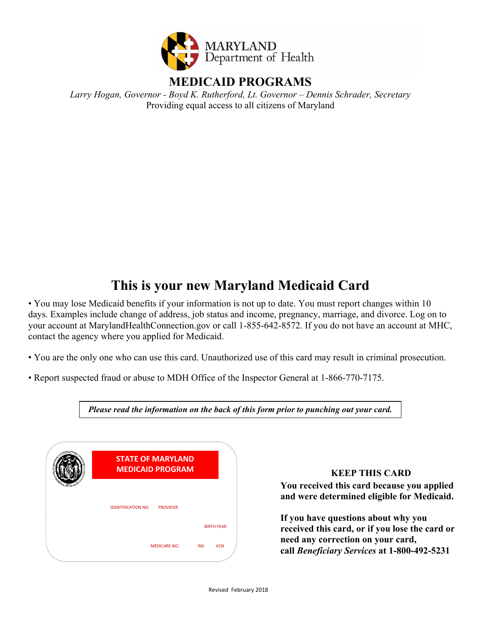

*Larry Hogan, Governor - Boyd K. Rutherford, Lt. Governor – Dennis Schrader, Secretary*  Providing equal access to all citizens of Maryland

# **This is your new Maryland Medicaid Card**

• You may lose Medicaid benefits if your information is not up to date. You must report changes within 10 days. Examples include change of address, job status and income, pregnancy, marriage, and divorce. Log on to your account at MarylandHealthConnection.gov or call 1-855-642-8572. If you do not have an account at MHC, contact the agency where you applied for Medicaid.

• You are the only one who can use this card. Unauthorized use of this card may result in criminal prosecution.

• Report suspected fraud or abuse to MDH Office of the Inspector General at 1-866-770-7175.

**STATE OF MARYLAND MEDICAID PROGRAM** IDENTIFICATION NO. PROVIDER BIRTH YEAR MEDICARE NO. INS VCN

*Please read the information on the back of this form prior to punching out your card.*

#### **KEEP THIS CARD**

**You received this card because you applied and were determined eligible for Medicaid.**

**If you have questions about why you received this card, or if you lose the card or need any correction on your card, call** *Beneficiary Services* **at 1-800-492-5231**